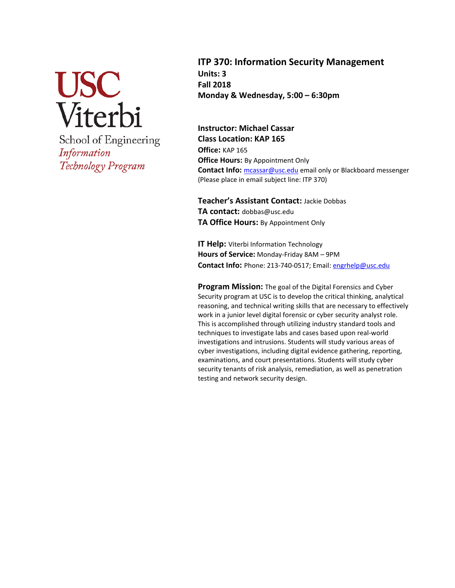

School of Engineering Information Technology Program

**ITP 370: Information Security Management Units: 3 Fall 2018 Monday & Wednesday, 5:00 – 6:30pm**

**Instructor: Michael Cassar Class Location: KAP 165 Office:** KAP 165 **Office Hours:** By Appointment Only Contact Info: [mcassar@usc.edu](mailto:mcassar@usc.edu) email only or Blackboard messenger (Please place in email subject line: ITP 370)

**Teacher's Assistant Contact:** Jackie Dobbas **TA contact:** dobbas@usc.edu **TA Office Hours:** By Appointment Only

**IT Help:** Viterbi Information Technology **Hours of Service:** Monday-Friday 8AM – 9PM **Contact Info:** Phone: 213-740-0517; Email: [engrhelp@usc.edu](mailto:engrhelp@usc.edu)

**Program Mission:** The goal of the Digital Forensics and Cyber Security program at USC is to develop the critical thinking, analytical reasoning, and technical writing skills that are necessary to effectively work in a junior level digital forensic or cyber security analyst role. This is accomplished through utilizing industry standard tools and techniques to investigate labs and cases based upon real-world investigations and intrusions. Students will study various areas of cyber investigations, including digital evidence gathering, reporting, examinations, and court presentations. Students will study cyber security tenants of risk analysis, remediation, as well as penetration testing and network security design.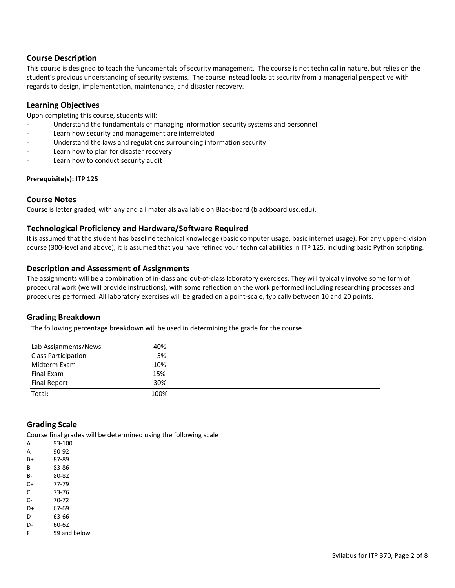### **Course Description**

This course is designed to teach the fundamentals of security management. The course is not technical in nature, but relies on the student's previous understanding of security systems. The course instead looks at security from a managerial perspective with regards to design, implementation, maintenance, and disaster recovery.

#### **Learning Objectives**

Upon completing this course, students will:

- Understand the fundamentals of managing information security systems and personnel
- Learn how security and management are interrelated
- Understand the laws and regulations surrounding information security
- Learn how to plan for disaster recovery
- Learn how to conduct security audit

#### **Prerequisite(s): ITP 125**

#### **Course Notes**

Course is letter graded, with any and all materials available on Blackboard (blackboard.usc.edu).

### **Technological Proficiency and Hardware/Software Required**

It is assumed that the student has baseline technical knowledge (basic computer usage, basic internet usage). For any upper-division course (300-level and above), it is assumed that you have refined your technical abilities in ITP 125, including basic Python scripting.

#### **Description and Assessment of Assignments**

The assignments will be a combination of in-class and out-of-class laboratory exercises. They will typically involve some form of procedural work (we will provide instructions), with some reflection on the work performed including researching processes and procedures performed. All laboratory exercises will be graded on a point-scale, typically between 10 and 20 points.

#### **Grading Breakdown**

The following percentage breakdown will be used in determining the grade for the course.

| Lab Assignments/News       | 40%  |
|----------------------------|------|
| <b>Class Participation</b> | 5%   |
| Midterm Exam               | 10%  |
| Final Exam                 | 15%  |
| Final Report               | 30%  |
| Total:                     | 100% |

### **Grading Scale**

Course final grades will be determined using the following scale

| A  | 93-100   |
|----|----------|
| А- | 90-92    |
| B+ | 87-89    |
| B  | 83-86    |
| B- | 80-82    |
| C+ | 77-79    |
| C  | 73-76    |
| C- | 70-72    |
| D+ | 67-69    |
| D  | 63-66    |
| D- | 60-62    |
| F  | 59 and b |

elow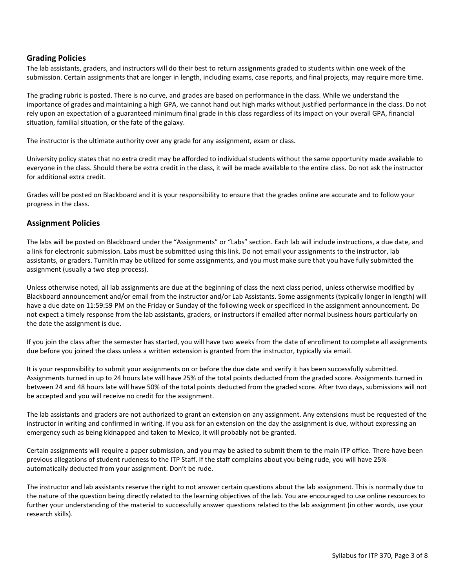### **Grading Policies**

The lab assistants, graders, and instructors will do their best to return assignments graded to students within one week of the submission. Certain assignments that are longer in length, including exams, case reports, and final projects, may require more time.

The grading rubric is posted. There is no curve, and grades are based on performance in the class. While we understand the importance of grades and maintaining a high GPA, we cannot hand out high marks without justified performance in the class. Do not rely upon an expectation of a guaranteed minimum final grade in this class regardless of its impact on your overall GPA, financial situation, familial situation, or the fate of the galaxy.

The instructor is the ultimate authority over any grade for any assignment, exam or class.

University policy states that no extra credit may be afforded to individual students without the same opportunity made available to everyone in the class. Should there be extra credit in the class, it will be made available to the entire class. Do not ask the instructor for additional extra credit.

Grades will be posted on Blackboard and it is your responsibility to ensure that the grades online are accurate and to follow your progress in the class.

### **Assignment Policies**

The labs will be posted on Blackboard under the "Assignments" or "Labs" section. Each lab will include instructions, a due date, and a link for electronic submission. Labs must be submitted using this link. Do not email your assignments to the instructor, lab assistants, or graders. TurnItIn may be utilized for some assignments, and you must make sure that you have fully submitted the assignment (usually a two step process).

Unless otherwise noted, all lab assignments are due at the beginning of class the next class period, unless otherwise modified by Blackboard announcement and/or email from the instructor and/or Lab Assistants. Some assignments (typically longer in length) will have a due date on 11:59:59 PM on the Friday or Sunday of the following week or specificed in the assignment announcement. Do not expect a timely response from the lab assistants, graders, or instructors if emailed after normal business hours particularly on the date the assignment is due.

If you join the class after the semester has started, you will have two weeks from the date of enrollment to complete all assignments due before you joined the class unless a written extension is granted from the instructor, typically via email.

It is your responsibility to submit your assignments on or before the due date and verify it has been successfully submitted. Assignments turned in up to 24 hours late will have 25% of the total points deducted from the graded score. Assignments turned in between 24 and 48 hours late will have 50% of the total points deducted from the graded score. After two days, submissions will not be accepted and you will receive no credit for the assignment.

The lab assistants and graders are not authorized to grant an extension on any assignment. Any extensions must be requested of the instructor in writing and confirmed in writing. If you ask for an extension on the day the assignment is due, without expressing an emergency such as being kidnapped and taken to Mexico, it will probably not be granted.

Certain assignments will require a paper submission, and you may be asked to submit them to the main ITP office. There have been previous allegations of student rudeness to the ITP Staff. If the staff complains about you being rude, you will have 25% automatically deducted from your assignment. Don't be rude.

The instructor and lab assistants reserve the right to not answer certain questions about the lab assignment. This is normally due to the nature of the question being directly related to the learning objectives of the lab. You are encouraged to use online resources to further your understanding of the material to successfully answer questions related to the lab assignment (in other words, use your research skills).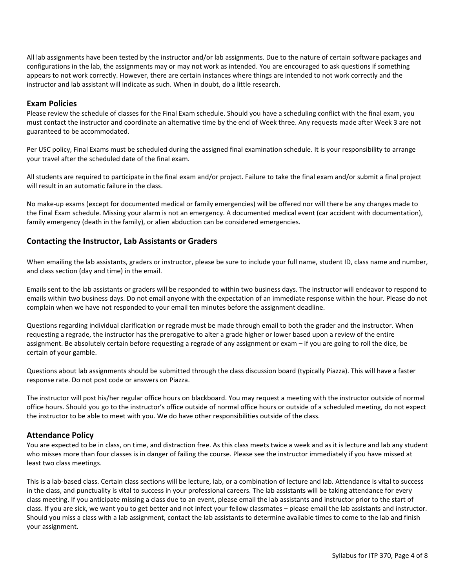All lab assignments have been tested by the instructor and/or lab assignments. Due to the nature of certain software packages and configurations in the lab, the assignments may or may not work as intended. You are encouraged to ask questions if something appears to not work correctly. However, there are certain instances where things are intended to not work correctly and the instructor and lab assistant will indicate as such. When in doubt, do a little research.

### **Exam Policies**

Please review the schedule of classes for the Final Exam schedule. Should you have a scheduling conflict with the final exam, you must contact the instructor and coordinate an alternative time by the end of Week three. Any requests made after Week 3 are not guaranteed to be accommodated.

Per USC policy, Final Exams must be scheduled during the assigned final examination schedule. It is your responsibility to arrange your travel after the scheduled date of the final exam.

All students are required to participate in the final exam and/or project. Failure to take the final exam and/or submit a final project will result in an automatic failure in the class.

No make-up exams (except for documented medical or family emergencies) will be offered nor will there be any changes made to the Final Exam schedule. Missing your alarm is not an emergency. A documented medical event (car accident with documentation), family emergency (death in the family), or alien abduction can be considered emergencies.

## **Contacting the Instructor, Lab Assistants or Graders**

When emailing the lab assistants, graders or instructor, please be sure to include your full name, student ID, class name and number, and class section (day and time) in the email.

Emails sent to the lab assistants or graders will be responded to within two business days. The instructor will endeavor to respond to emails within two business days. Do not email anyone with the expectation of an immediate response within the hour. Please do not complain when we have not responded to your email ten minutes before the assignment deadline.

Questions regarding individual clarification or regrade must be made through email to both the grader and the instructor. When requesting a regrade, the instructor has the prerogative to alter a grade higher or lower based upon a review of the entire assignment. Be absolutely certain before requesting a regrade of any assignment or exam – if you are going to roll the dice, be certain of your gamble.

Questions about lab assignments should be submitted through the class discussion board (typically Piazza). This will have a faster response rate. Do not post code or answers on Piazza.

The instructor will post his/her regular office hours on blackboard. You may request a meeting with the instructor outside of normal office hours. Should you go to the instructor's office outside of normal office hours or outside of a scheduled meeting, do not expect the instructor to be able to meet with you. We do have other responsibilities outside of the class.

### **Attendance Policy**

You are expected to be in class, on time, and distraction free. As this class meets twice a week and as it is lecture and lab any student who misses more than four classes is in danger of failing the course. Please see the instructor immediately if you have missed at least two class meetings.

This is a lab-based class. Certain class sections will be lecture, lab, or a combination of lecture and lab. Attendance is vital to success in the class, and punctuality is vital to success in your professional careers. The lab assistants will be taking attendance for every class meeting. If you anticipate missing a class due to an event, please email the lab assistants and instructor prior to the start of class. If you are sick, we want you to get better and not infect your fellow classmates – please email the lab assistants and instructor. Should you miss a class with a lab assignment, contact the lab assistants to determine available times to come to the lab and finish your assignment.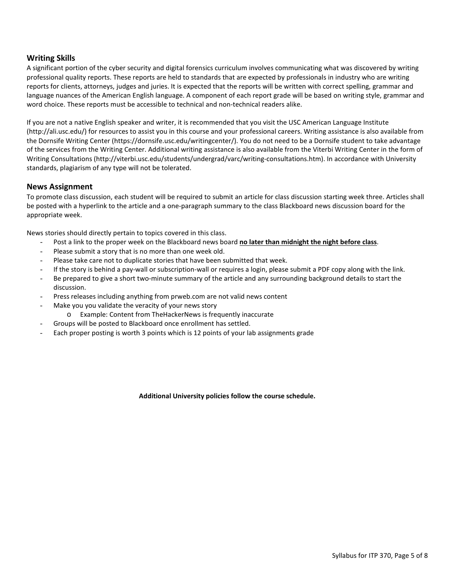### **Writing Skills**

A significant portion of the cyber security and digital forensics curriculum involves communicating what was discovered by writing professional quality reports. These reports are held to standards that are expected by professionals in industry who are writing reports for clients, attorneys, judges and juries. It is expected that the reports will be written with correct spelling, grammar and language nuances of the American English language. A component of each report grade will be based on writing style, grammar and word choice. These reports must be accessible to technical and non-technical readers alike.

If you are not a native English speaker and writer, it is recommended that you visit the USC American Language Institute (http://ali.usc.edu/) for resources to assist you in this course and your professional careers. Writing assistance is also available from the Dornsife Writing Center (https://dornsife.usc.edu/writingcenter/). You do not need to be a Dornsife student to take advantage of the services from the Writing Center. Additional writing assistance is also available from the Viterbi Writing Center in the form of Writing Consultations (http://viterbi.usc.edu/students/undergrad/varc/writing-consultations.htm). In accordance with University standards, plagiarism of any type will not be tolerated.

#### **News Assignment**

To promote class discussion, each student will be required to submit an article for class discussion starting week three. Articles shall be posted with a hyperlink to the article and a one-paragraph summary to the class Blackboard news discussion board for the appropriate week.

News stories should directly pertain to topics covered in this class.

- Post a link to the proper week on the Blackboard news board **no later than midnight the night before class**.
- Please submit a story that is no more than one week old.
- Please take care not to duplicate stories that have been submitted that week.
- If the story is behind a pay-wall or subscription-wall or requires a login, please submit a PDF copy along with the link.
- Be prepared to give a short two-minute summary of the article and any surrounding background details to start the discussion.
- Press releases including anything from prweb.com are not valid news content
- Make you you validate the veracity of your news story
	- o Example: Content from TheHackerNews is frequently inaccurate
- Groups will be posted to Blackboard once enrollment has settled.
- Each proper posting is worth 3 points which is 12 points of your lab assignments grade

**Additional University policies follow the course schedule.**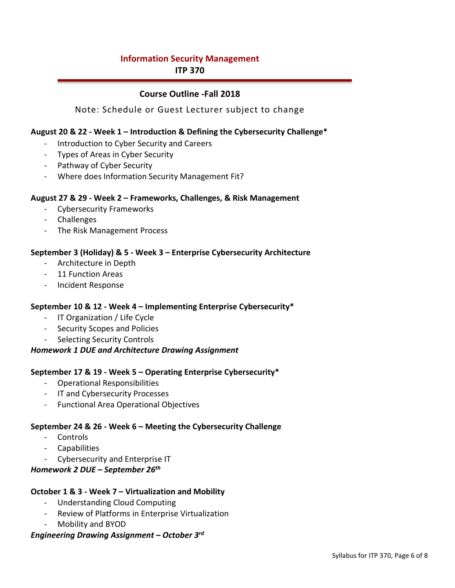# **Information Security Management ITP 370**

## **Course Outline -Fall 2018**

## Note: Schedule or Guest Lecturer subject to change

## **August 20 & 22 - Week 1 – Introduction & Defining the Cybersecurity Challenge\***

- Introduction to Cyber Security and Careers
- Types of Areas in Cyber Security
- Pathway of Cyber Security
- Where does Information Security Management Fit?

### **August 27 & 29 - Week 2 – Frameworks, Challenges, & Risk Management**

- Cybersecurity Frameworks
- Challenges
- The Risk Management Process

### **September 3 (Holiday) & 5 - Week 3 – Enterprise Cybersecurity Architecture**

- Architecture in Depth
- 11 Function Areas
- Incident Response

### **September 10 & 12 - Week 4 – Implementing Enterprise Cybersecurity\***

- IT Organization / Life Cycle
- Security Scopes and Policies
- Selecting Security Controls

### *Homework 1 DUE and Architecture Drawing Assignment*

## **September 17 & 19 - Week 5 – Operating Enterprise Cybersecurity\***

- Operational Responsibilities
- IT and Cybersecurity Processes
- Functional Area Operational Objectives

### **September 24 & 26 - Week 6 – Meeting the Cybersecurity Challenge**

- Controls
- Capabilities
- Cybersecurity and Enterprise IT

## *Homework 2 DUE – September 26th*

### **October 1 & 3 - Week 7 – Virtualization and Mobility**

- Understanding Cloud Computing
- Review of Platforms in Enterprise Virtualization
- Mobility and BYOD

### *Engineering Drawing Assignment – October 3rd*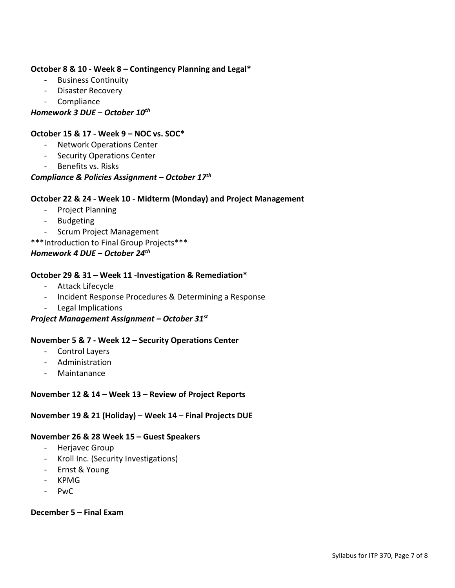## **October 8 & 10 - Week 8 – Contingency Planning and Legal\***

- Business Continuity
- Disaster Recovery
- Compliance

*Homework 3 DUE – October 10th*

## **October 15 & 17 - Week 9 – NOC vs. SOC\***

- Network Operations Center
- Security Operations Center
- Benefits vs. Risks

## *Compliance & Policies Assignment – October 17th*

## **October 22 & 24 - Week 10 - Midterm (Monday) and Project Management**

- Project Planning
- Budgeting
- Scrum Project Management
- \*\*\*Introduction to Final Group Projects\*\*\*

## *Homework 4 DUE – October 24th*

## **October 29 & 31 – Week 11 -Investigation & Remediation\***

- Attack Lifecycle
- Incident Response Procedures & Determining a Response
- Legal Implications

## *Project Management Assignment – October 31st*

## **November 5 & 7 - Week 12 – Security Operations Center**

- Control Layers
- Administration
- Maintanance

## **November 12 & 14 – Week 13 – Review of Project Reports**

## **November 19 & 21 (Holiday) – Week 14 – Final Projects DUE**

## **November 26 & 28 Week 15 – Guest Speakers**

- Herjavec Group
- Kroll Inc. (Security Investigations)
- Ernst & Young
- KPMG
- PwC

## **December 5 – Final Exam**